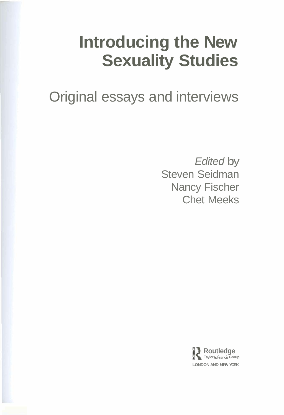# **Introducing the New Sexuality Studies**

Original essays and interviews

Edited by Steven Seidman Nancy Fischer Chet Meeks

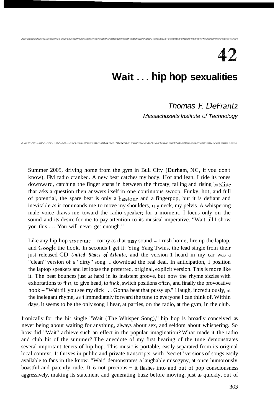## 42 **Wait** . . . **hip hop sexualities**

## Thomas F: DeFrantz

Massachusetts Institute of Technology

Summer 2005, driving home from the gym in Bull City (Durham, NC, if you don't know), FM radio cranked. A new beat catches my body. Hot and lean. I ride its tones downward, catching the finger snaps in between the throaty, falling and rising bassline that asks a question then answers itself in one continuous swoop. Funky, hot, and full of potential, the spare beat is only a basstone and a fingerpop, but it is defiant and inevitable as it commands me to move my shoulders, my neck, my pelvis. A whispering male voice draws me toward the radio speaker; for a moment, I focus only on the sound and its desire for me to pay attention to its musical imperative. "Wait till I show you this ... You will never get enough."

Like any hip hop academic  $-$  corny as that may sound  $-$  I rush home, fire up the laptop, and Google the hook. In seconds I get it: Ying Yang Twins, the lead single from their just-released CD *United States* of *Atlanta,* and the version 1 heard in my car was a "clean" version of a "dirty" song. I download the real deal. In anticipation, I position the laptop speakers and let loose the preferred, original, explicit version. This is more like it. The beat bounces just **as** hard in its insistent groove, but now the rhyme sizzles with exhortations to flirt, to give head, to fuck, switch positions often, and finally the provocative hook – "Wait till you see my dick . . . Gonna beat that pussy up." I laugh, incredulously, at the inelegant rhyme, and immediately forward the tune to everyone I can think of. Within days, it seems to be the only song I hear, at parties, on the radio, at the gym, in the club.

Ironically for the hit single "Wait (The Whisper Song)," hip hop is broadly conceived as never being about waiting for anything, always about sex, and seldom about whispering. So how did "Wait" achieve such an effect in the popular imagination? What made it the radio and club hit of the summer? The anecdote of my first hearing of the tune demonstrates several important tenets of hip hop. This music is portable, easily separated from its original local context. It thrives in public and private transcripts, with "secret" versions of songs easily available to fans in the know. "Wait" demonstrates a laughable misogyny, at once humorously boastful and patently rude. It is not precious  $-$  it flashes into and out of pop consciousness aggressively, making its statement and generating buzz before moving, just as quickly, out of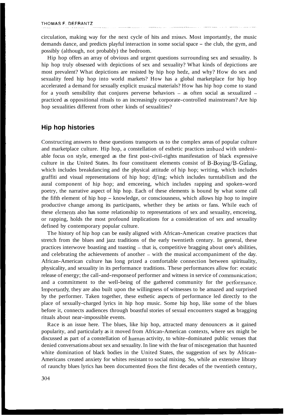circulation, making way for the next cycle of hits and misses. Most importantly, the music demands dance, and predicts playful interaction in some social space – the club, the gym, and possibly (although, not probably) the bedroom.

Hip hop offers an array of obvious and urgent questions surrounding sex and sexuality. Is hip hop truly obsessed with depictions of sex and sexuality? What kinds of depictions are most prevalent? What depictions are resisted by hip hop hedz, and why? How do sex and sexuality feed hip hop into world markets? How has a global marketplace for hip hop accelerated a demand for sexually explicit musical materials? How has hip hop come to stand for a youth sensibility that conjures perverse behaviors – as often social as sexualized – practiced as oppositional rituals to an increasingly corporate-controlled mainstream? Are hip hop sexualities different from other kinds of sexualities?

## **Hip hop histories**

Constructing answers to these questions transports us to the complex areas of popular culture and marketplace culture. Hip hop, a constellation of esthetic practices imbued with undeniable focus on style, emerged as the first post-civil-rights manifestation of black expressive culture in the United States. Its four constituent elements consist of B-Boying/B-Girling, which includes breakdancing and the physical attitude of hip hop; writing, which includes graffiti and visual representations of hip hop; dj'ing; which includes turntabilism and the aural component of hip hop; and emceeing, which includes rapping and spoken-word poetry, the narrative aspect of hip hop. Each of these elements is bound by what some call the fifth element of hip hop - knowledge, or consciousness, which allows hip hop to inspire productive change among its participants, whether they be artists or fans. While each of these eletnents also has some relationship to representations of sex and sexuality, emceeing, or rapping, holds the most profound implications for a consideration of sex and sexuality defined by contemporary popular culture.

The history of hip hop can be easily aligned with African-American creative practices that stretch from the blues and jazz traditions of the early twentieth century. In general, these practices interwove boasting and toasting - that is, competitive bragging about one's abilities, and celebrating the achievements of another - with the musical accompaniment of the day. African-American culture has long prized a comfortable connection between spirituality, physicality, and sexuality in its performance traditions. These performances allow for: ecstatic release of energy; the call-and-response of performer and witness in service of communication; and a commitment to the well-being of the gathered community for the performance. Inlportantly, they are also built upon the willingness of witnesses to be amazed and surprised by the performer. Taken together, these esthetic aspects of performance led directly to the place of sexually-charged lyrics in hip hop music. Some hip hop, like some of the blues before it, connects audiences through boastful stories of sexual encounters staged as bragging rituals about near-impossible events.

Race is an issue here. The blues, like hip hop, attracted many denouncers as it gained popularity, and particularly as it moved from African-American contexts, where sex might be discussed as part of a constellation of human activity, to white-dominated public venues that denied conversations about sex and sexuality. In line with the fear of miscegenation that haunted white domination of black bodies in the United States, the suggestion of sex by African-Americans created anxiety for whites resistant to social mixing. So, while an extensive library of raunchy blues lyrics has been documented from the first decades of the twentieth century,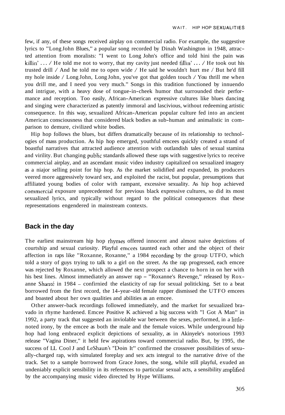few, if any, of these songs received airplay on commercial radio. For example, the suggestive lyrics to "Long John Blues," a popular song recorded by Dinah Washington in 1948, attracted attention from moralists: "I went to Long John's office and told hini the pain was killin' ... / He told me not to worry, that my cavity just needed fillin' ... / He took out his trusted drill / And he told me to open wide / He said he wouldn't hurt me / But he'd fill my hole inside / Long John, Long John, you've got that golden touch / You thrill me when you drill me, and I need you very much." Songs in this tradition functioned by innuendo and intrigue, with a heavy dose of tongue-in-cheek humor that surrounded their performance and reception. Too easily, African-American expressive cultures like blues dancing and singing were characterized as patently immoral and lascivious, without redeeming artistic consequence. In this way, sexualized African-American popular culture fed into an ancient American consciousness that considered black bodies as sub-human and animalistic in comparison to demure, civilized white bodies.

Hip hop follows the blues, but differs dramatically because of its relationship to technologies of mass production. As hip hop emerged, youthful emcees quickly created a strand of boastful narratives that attracted audience attention with outlandish tales of sexual stamina and virility. But changing public standards allowed these raps with suggestive lyrics to receive commercial airplay, and an ascendant music video industry capitalized on sexualized imagery as a niajor selling point for hip hop. As the market solidified and expanded, its producers veered more aggressively toward sex, and exploited the racist, but popular, presumptions that affiliated young bodies of color with rampant, excessive sexuality. As hip hop achieved commercial exposure unprecedented for previous black expressive cultures, so did its most sexualized lyrics, and typically without regard to the political consequences that these representations engendered in mainstream contexts.

### **Back in the day**

The earliest mainstream hip hop rhymes offered innocent and almost naive depictions of courtship and sexual curiosity. Playful emcees taunted each other and the object of their affection in raps like "Roxanne, Roxanne," a 1984 recording by the group UTFO, which told a story of guys trying to talk to a girl on the street. As the rap progressed, each emcee was rejected by Roxanne, which allowed the next prospect a chance to horn in on her with his best lines. Almost immediately an answer rap - "Roxanne's Revenge," released by Roxanne Shanté in 1984 – confirmied the elasticity of rap for sexual politicking. Set to a beat borrowed from the first record, the 14-year-old female rapper dismissed the UTFO emcees and boasted about her own qualities and abilities as an emcee.

Other answer-back recordings followed immediately, and the market for sexualized bravado in rhyme hardened. Emcee Positive K achieved a big success with "I Got A Man" in 1992, a party track that suggested an inviolable war between the sexes, performed, in a littlenoted irony, by the emcee as both the male and the female voices. While underground hip hop had long embraced explicit depictions of sexuality, as in Akinyele's notorious 1993 release "Vagina Diner," it held few aspirations toward commercial radio. But, by 1995, the success of LL Cool J and LeShaun's "Doin It" confirmed the crossover possibilities of sexually-charged rap, with simulated foreplay and sex acts integral to the narrative drive of the track. Set to a sample borrowed from Grace Jones, the song, while still playful, exuded an undeniably explicit sensibility in its references to particular sexual acts, a sensibility aniplified by the accompanying music video directed by Hype Williams.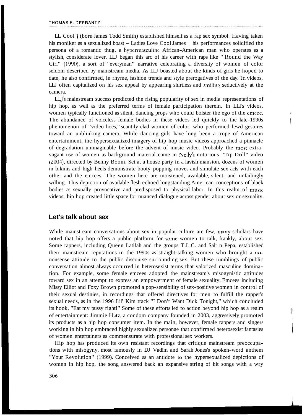LL Cool J (born James Todd Smith) established himself as a rap sex symbol. Having taken his moniker as a sexualized boast - Ladies Love Cool James - his performances solidified the persona of a romantic thug, a hypermasculine African-American man who operates as a stylish, considerate lover. LLJ began this arc of his career with raps like "'Round the Way Girl" (1990), a sort of "everyman" narrative celebrating a diversity of women of color seldom described by mainstream media. As LLJ boasted about the kinds of girls he hoped to date, he also confirmed, in rhyme, fashion trends and style prerogatives of the day. In videos, LLJ often capitalized on his sex appeal by appearing shirtless and smiling seductively at the camera.

LLJ's mainstream success predicted the rising popularity of sex in media representations of hip hop, as well as the preferred terms of female participation therein. In LLJ's videos, women typically functioned as silent, dancing props who could bolster the ego of the emcee. The abundance of voiceless female bodies in these videos led quickly to the late-1990s phenomenon of "video hoes," scantily clad women of color, who performed lewd gestures toward an unblinking camera. While dancing girls have long been a trope of American entertainment, the hypersexualized imagery of hip hop music videos approached a pinnacle of degradation unimaginable before the advent of music video. Probably the most extravagant use of women as background material came in Nelly's notorious "Tip Drill" video (2004), directed by Benny Boom. Set at a house party in a lavish mansion, dozens of women in bikinis and high heels demonstrate booty-popping moves and simulate sex acts with each other and the emcees. The women here are moistened, available, silent, and unfailingly willing. This depiction of available flesh echoed longstanding American conceptions of black bodies as sexually provocative and predisposed to physical labor. In this realm of music videos, hip hop created little space for nuanced dialogue across gender about sex or sexuality.

#### **Let's talk about sex**

While mainstream conversations about sex in popular culture are few, many scholars have noted that hip hop offers a public platform for some women to talk, frankly, about sex. Some rappers, including Queen Latifah and the groups T.L.C. and Salt n Pepa, established their mainstream reputations in the 1990s as straight-talking women who brought a nononsense attitude to the public discourse surrounding sex. But these rumblings of public conversation almost always occurred in heterosexist terms that valorized masculine domination. For example, some female emcees adopted the mainstream's misogynistic attitudes toward sex in an attempt to express an empowerment of female sexuality. Emcees including Missy Elliot and Foxy Brown promoted a pop-sensibility of sex-positive women in control of their sexual destinies, in recordings that offered directives for men to fulfill the rapper's sexual needs, as in the 1996 Lil' Kim track "I Don't Want Dick Tonight," which concluded its hook, "Eat my pussy right!" Some of these efforts led to action beyond hip hop as a realm of entertainment: Jimmie Hatz, a condom company founded in 2003, aggressively promoted its products as a hip hop consumer item. In the main, however, female rappers and singers working in hip hop embraced highly sexualized personae that confirmed heterosexist fantasies of women entertainers as commensurate with professional sex workers.

Hip hop has produced its own resistant recordings that critique mainstream preoccupations with misogyny, most famously in DJ Vadim and Sarah Jones's spoken-word anthem "Your Revolution" (1999). Conceived as an antidote to the hypersexualized depictions of women in hip hop, the song answered back an expansive string of hit songs with a wry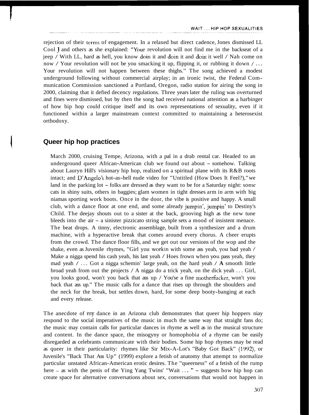rejection of their ternis of engagement. In a relaxed but direct cadence, Jones dismissed LL Cool J and others as she explained: "Your revolution will not find me in the backseat of a jeep / With LL, hard as hell, you know doin it and doin it and doin it well / Nah come on now / Your revolution will not be you smacking it up, flipping it, or rubbing it down / ... Your revolution will not happen between these thighs." The song achieved a modest underground following without commercial airplay; in an ironic twist, the Federal Communication Commission sanctioned a Portland, Oregon, radio station for airing the song in 2000, claiming that it defied decency regulations. Three years later the ruling was overturned and fines were dismissed, but by then the song had received national attention as a harbinger of how hip hop could critique itself and its own representations of sexuality, even if it functioned within a larger mainstream context committed to maintaining a heterosexist orthodoxy.

### **Queer hip hop practices**

March 2000, cruising Tempe, Arizona, with a pal in a drab rental car. Headed to an underground queer African-American club we found out about - somehow. Talking about Lauryn Hill's visionary hip hop, realized on a spiritual plane with its R&B roots intact; and D'Angelo's hot-as-hell nude video for "Untitled (How Does It Feel?)," we land in the parking  $\text{lot} - \text{folks}$  are dressed as they want to be for a Saturday night: some cats in shiny suits, others in baggies; glam women in tight dresses arm in arm with big niamas sporting work boots. Once in the door, the vibe is positive and happy. A small club, with a dance floor at one end, and some already jumpin', jumpin' to Destiny's Child. The deejay shouts out to a sister at the back, grooving high as the new tune bleeds into the air - a sinister pizzicato string sample sets a mood of insistent menace. The beat drops. A tinny, electronic assemblage, built from a synthesizer and a drum machine, with a hyperactive break that comes around every chorus. A cheer erupts from the crowd. The dance floor fills, and we get out our versions of the wop and the shake, even as Juvenile rhymes, "Girl you workin with some ass yeah, you bad yeah / Make a nigga spend his cash yeah, his last yeah / Hoes frown when you pass yeah, they mad yeah / . . . Got a nigga schemin' large yeah, on the hard yeah / **A** smooth little broad yeah from out the projects / A nigga do a trick yeah, on the dick yeah . . . Girl, you looks good, won't you back that ass up  $/$  You'se a fine motherfucker, won't you back that ass up." The music calls for a dance that rises up through the shoulders and the neck for the break, but settles down, hard, for some deep booty-banging at each and every release.

The anecdote of my dance in an Arizona club demonstrates that queer hip hoppers niay respond to the social imperatives of the music in much the same way that straight fans do; the music may contain calls for particular dances in rhyme as well as in the musical structure and content. In the dance space, the misogyny or homophobia of a rhyme can be easily disregarded as celebrants communicate with their bodies. Some hip hop rhymes may be read as queer in their particularity: rhymes like Sir Mix-A-Lot's "Baby Got Back" (1992), or Juvenile's "Back That Ass Up" (1999) explore a fetish of anatomy that attempt to normalize particular unstated African-American erotic desires. The "queerness" of a fetish of the rump here - as with the penis of the Ying Yang Twins' "Wait ... " - suggests how hip hop can create space for alternative conversations about sex, conversations that would not happen in